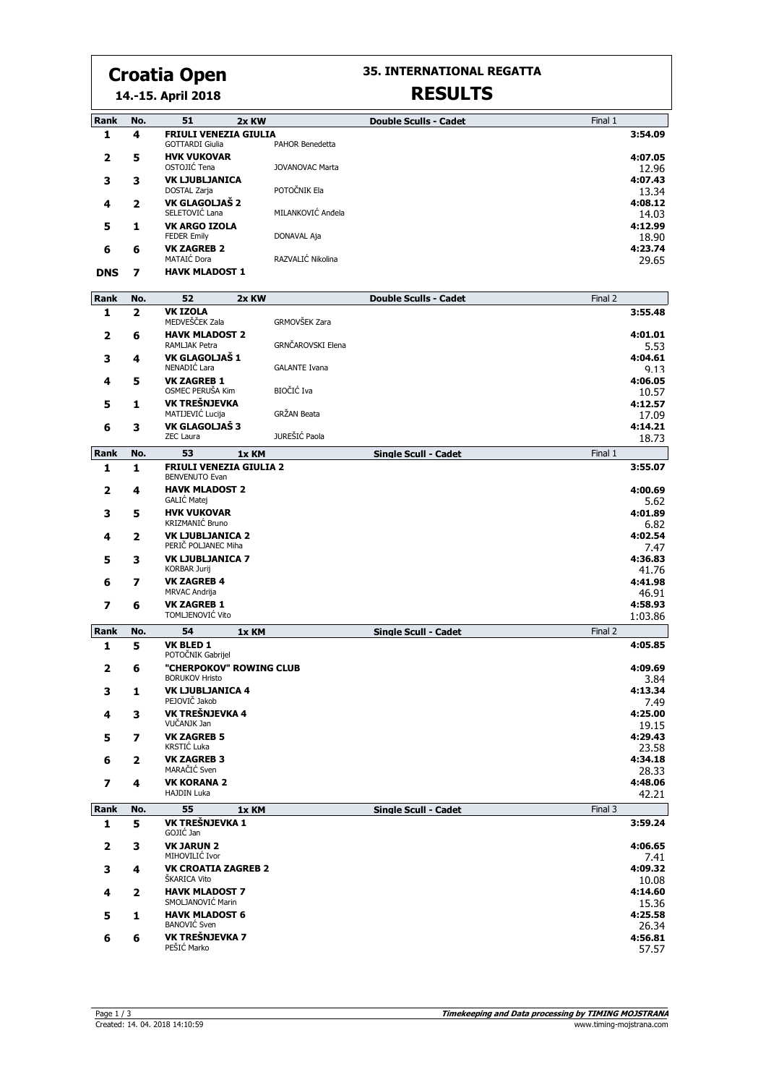# **Croatia Open**

**14.-15. April 2018**

### **35. INTERNATIONAL REGATTA**

# **RESULTS**

| Rank         | No.            | 51<br>2x KW                                    |                         | <b>Double Sculls - Cadet</b> | Final 1 |                  |
|--------------|----------------|------------------------------------------------|-------------------------|------------------------------|---------|------------------|
| 1            | 4              | <b>FRIULI VENEZIA GIULIA</b>                   |                         |                              |         | 3:54.09          |
| 2            | 5              | <b>GOTTARDI Giulia</b><br><b>HVK VUKOVAR</b>   | PAHOR Benedetta         |                              |         | 4:07.05          |
|              |                | OSTOJIĆ Tena                                   | JOVANOVAC Marta         |                              |         | 12.96            |
| з            | з              | <b>VK LJUBLJANICA</b>                          |                         |                              |         | 4:07.43          |
|              |                | DOSTAL Zarja<br>VK GLAGOLJAŠ 2                 | POTOČNIK Ela            |                              |         | 13 34<br>4:08.12 |
| 4            | 2              | SELETOVIĆ Lana                                 | MILANKOVIĆ Anđela       |                              |         | 14.03            |
| 5            | 1              | <b>VK ARGO IZOLA</b>                           |                         |                              |         | 4:12.99          |
|              |                | <b>FEDER Emily</b>                             | DONAVAL Aja             |                              |         | 18.90            |
| 6            | 6              | <b>VK ZAGREB 2</b><br>MATAIĆ Dora              | RAZVALIĆ Nikolina       |                              |         | 4:23.74<br>29.65 |
| <b>DNS</b>   | 7              | <b>HAVK MLADOST 1</b>                          |                         |                              |         |                  |
|              |                |                                                |                         |                              |         |                  |
| Rank         | No.            | 52<br>2x KW                                    |                         | <b>Double Sculls - Cadet</b> | Final 2 |                  |
| 1            | $\overline{2}$ | <b>VK IZOLA</b><br>MEDVEŠČEK Zala              | GRMOVŠEK Zara           |                              |         | 3:55.48          |
| 2            | 6              | <b>HAVK MLADOST 2</b>                          |                         |                              |         | 4:01.01          |
|              |                | RAMLJAK Petra                                  | GRNČAROVSKI Elena       |                              |         | 5.53             |
| 3            | 4              | VK GLAGOLJAŠ 1<br>NENADIĆ Lara                 | <b>GALANTE Ivana</b>    |                              |         | 4:04.61<br>9.13  |
| 4            | 5              | <b>VK ZAGREB 1</b>                             |                         |                              |         | 4:06.05          |
|              |                | OSMEC PERUŠA Kim                               | BIOČIĆ Iva              |                              |         | 10.57            |
| 5            | 1              | VK TREŠNJEVKA<br>MATIJEVIĆ Lucija              | GRŽAN Beata             |                              |         | 4:12.57          |
| 6            | 3              | VK GLAGOLJAŠ 3                                 |                         |                              |         | 17.09<br>4:14.21 |
|              |                | <b>ZEC Laura</b>                               | JUREŠIĆ Paola           |                              |         | 18.73            |
| Rank         | No.            | 53<br>1x KM                                    |                         | Single Scull - Cadet         | Final 1 |                  |
| $\mathbf{1}$ | 1              | <b>FRIULI VENEZIA GIULIA 2</b>                 |                         |                              |         | 3:55.07          |
| 2            | 4              | <b>BENVENUTO Evan</b><br><b>HAVK MLADOST 2</b> |                         |                              |         | 4:00.69          |
|              |                | GALIĆ Matej                                    |                         |                              |         | 5.62             |
| 3            | 5              | <b>HVK VUKOVAR</b>                             |                         |                              |         | 4:01.89          |
| 4            | 2              | KRIZMANIĆ Bruno<br><b>VK LJUBLJANICA 2</b>     |                         |                              |         | 6.82<br>4:02.54  |
|              |                | PERIČ POLJANEC Miha                            |                         |                              |         | 7.47             |
| 5            | 3              | <b>VK LJUBLJANICA 7</b>                        |                         |                              |         | 4:36.83          |
| 6            | 7              | KORBAR Jurij<br><b>VK ZAGREB 4</b>             |                         |                              |         | 41.76<br>4:41.98 |
|              |                | MRVAC Andrija                                  |                         |                              |         | 46.91            |
| 7            | 6              | <b>VK ZAGREB 1</b>                             |                         |                              |         | 4:58.93          |
|              |                | TOMLJENOVIĆ Vito                               |                         |                              |         | 1:03.86          |
| Rank         | No.            | 54<br>1x KM                                    |                         | Single Scull - Cadet         | Final 2 |                  |
| 1            | 5              | <b>VK BLED 1</b><br>POTOČNIK Gabrijel          |                         |                              |         | 4:05.85          |
| 2            | 6              |                                                | "CHERPOKOV" ROWING CLUB |                              |         | 4:09.69          |
|              |                | <b>BORUKOV Hristo</b>                          |                         |                              |         | 3.84             |
| 3.           | 1.             | <b>VK LJUBLJANICA 4</b><br>PEJOVIČ Jakob       |                         |                              |         | 4:13.34<br>7.49  |
| 4            | 3              | VK TREŠNJEVKA 4                                |                         |                              |         | 4:25.00          |
|              |                | VUČANJK Jan                                    |                         |                              |         | 19.15            |
| 5            | 7              | <b>VK ZAGREB 5</b><br>KRSTIĆ Luka              |                         |                              |         | 4:29.43<br>23.58 |
| 6            | 2              | <b>VK ZAGREB 3</b>                             |                         |                              |         | 4:34.18          |
|              |                | MARAČIĆ Sven                                   |                         |                              |         | 28.33            |
| 7            | 4              | <b>VK KORANA 2</b><br><b>HAJDIN Luka</b>       |                         |                              |         | 4:48.06<br>42.21 |
| Rank         | No.            | 55<br>1x KM                                    |                         | Single Scull - Cadet         | Final 3 |                  |
| 1            | 5              | VK TREŠNJEVKA 1                                |                         |                              |         | 3:59.24          |
|              |                | GOJIĆ Jan                                      |                         |                              |         |                  |
| $\mathbf{2}$ | 3              | <b>VK JARUN 2</b><br>MIHOVILIĆ Ivor            |                         |                              |         | 4:06.65          |
| 3            | 4              | <b>VK CROATIA ZAGREB 2</b>                     |                         |                              |         | 7.41<br>4:09.32  |
|              |                | ŠKARICA Vito                                   |                         |                              |         | 10.08            |
| 4            | 2              | <b>HAVK MLADOST 7</b><br>SMOLJANOVIĆ Marin     |                         |                              |         | 4:14.60          |
| 5            | 1              | <b>HAVK MLADOST 6</b>                          |                         |                              |         | 15.36<br>4:25.58 |
|              |                | <b>BANOVIĆ Sven</b>                            |                         |                              |         | 26.34            |
| 6            | 6              | VK TREŠNJEVKA 7<br>PEŠIĆ Marko                 |                         |                              |         | 4:56.81          |
|              |                |                                                |                         |                              |         | 57.57            |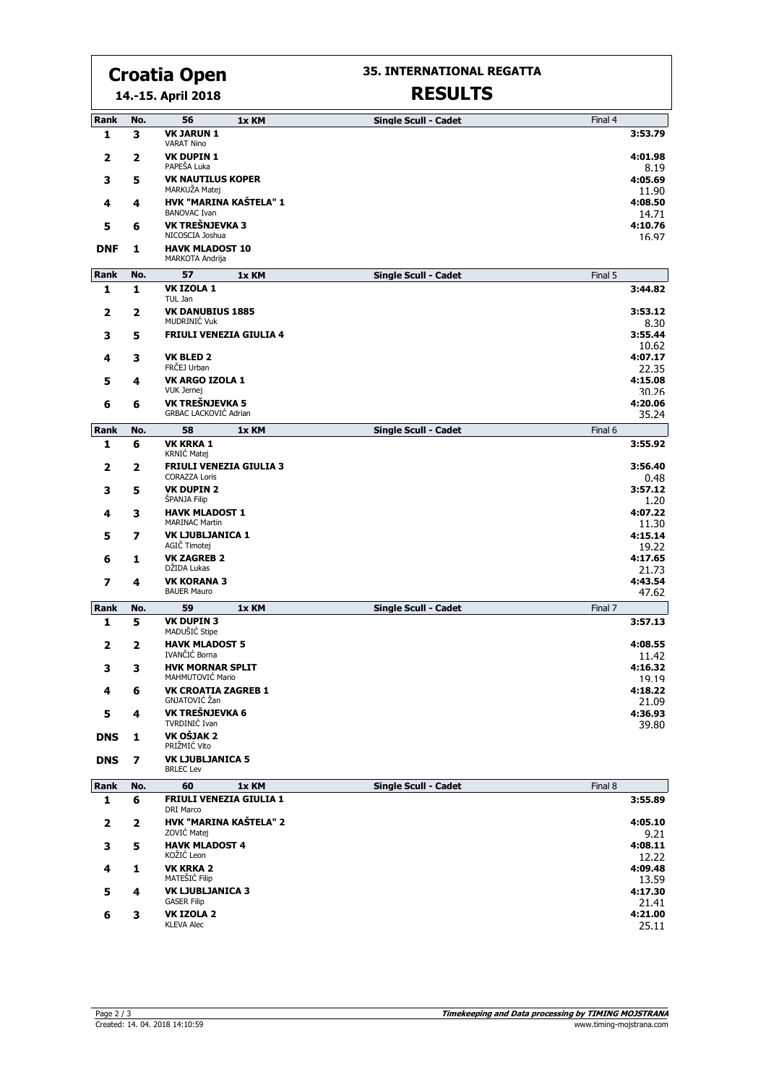# **Croatia Open**

**14.-15. April 2018**

#### **35. INTERNATIONAL REGATTA**

## **RESULTS**

| Rank                    | No. | 56<br>1x KM                                            | <b>Single Scull - Cadet</b> | Final 4          |
|-------------------------|-----|--------------------------------------------------------|-----------------------------|------------------|
| 1                       | 3   | <b>VK JARUN 1</b><br><b>VARAT Nino</b>                 |                             | 3:53.79          |
| $\mathbf{2}$            | 2   | <b>VK DUPIN 1</b><br>PAPEŠA Luka                       |                             | 4:01.98<br>8.19  |
| 3                       | 5   | <b>VK NAUTILUS KOPER</b><br>MARKUŽA Matei              |                             | 4:05.69          |
| 4                       | 4   | HVK "MARINA KAŠTELA" 1                                 |                             | 11.90<br>4:08.50 |
| 5                       | 6   | <b>BANOVAC Ivan</b><br>VK TREŠNJEVKA 3                 |                             | 14.71<br>4:10.76 |
| <b>DNF</b>              | 1   | NICOSCIA Joshua<br><b>HAVK MLADOST 10</b>              |                             | 16.97            |
|                         |     | MARKOTA Andrija                                        |                             |                  |
| Rank                    | No. | 57<br>1x KM                                            | <b>Single Scull - Cadet</b> | Final 5          |
| 1                       | 1   | VK IZOLA 1<br>TUL Jan                                  |                             | 3:44.82          |
| $\mathbf{2}$            | 2   | <b>VK DANUBIUS 1885</b><br>MUDRINIĆ Vuk                |                             | 3:53.12<br>8.30  |
| з                       | 5   | <b>FRIULI VENEZIA GIULIA 4</b>                         |                             | 3:55.44<br>10.62 |
| 4                       | 3   | <b>VK BLED 2</b>                                       |                             | 4:07.17          |
|                         |     | FRČEJ Urban                                            |                             | 22.35            |
| 5                       | 4   | VK ARGO IZOLA 1                                        |                             | 4:15.08          |
|                         |     | <b>VUK Jernej</b>                                      |                             | 30.26            |
| 6                       | 6   | VK TREŠNJEVKA 5                                        |                             | 4:20.06          |
|                         |     | <b>GRBAC LACKOVIĆ Adrian</b>                           |                             | 35.24            |
| Rank                    | No. | 58<br>1x KM                                            | <b>Single Scull - Cadet</b> | Final 6          |
| 1                       | 6   | <b>VK KRKA 1</b><br>KRNIĆ Matej                        |                             | 3:55.92          |
| 2                       | 2   | <b>FRIULI VENEZIA GIULIA 3</b><br><b>CORAZZA Loris</b> |                             | 3:56.40<br>0.48  |
| 3                       | 5   | <b>VK DUPIN 2</b><br><b>SPANJA Filip</b>               |                             | 3:57.12<br>1.20  |
| 4                       | 3   | <b>HAVK MLADOST 1</b>                                  |                             | 4:07.22          |
|                         |     | <b>MARINAC Martin</b>                                  |                             | 11.30            |
| 5                       | 7   | <b>VK LJUBLJANICA 1</b><br>AGIČ Timotej                |                             | 4:15.14<br>19.22 |
| 6                       | 1   | <b>VK ZAGREB 2</b><br>DŽIDA Lukas                      |                             | 4:17.65<br>21.73 |
| 7                       | 4   | <b>VK KORANA 3</b><br><b>BAUER Mauro</b>               |                             | 4:43.54<br>47.62 |
| Rank                    | No. | 59<br>1x KM                                            | <b>Single Scull - Cadet</b> | Final 7          |
| 1                       | 5   | <b>VK DUPIN 3</b><br>MADUŠIĆ Stipe                     |                             | 3:57.13          |
| 2                       | 2   | <b>HAVK MLADOST 5</b><br>IVANČIĆ Borna                 |                             | 4:08.55          |
| з                       | 3   | <b>HVK MORNAR SPLIT</b>                                |                             | 11.42<br>4:16.32 |
|                         |     | MAHMUTOVIC Mario                                       |                             | 19.19            |
| 4                       | 6   | <b>VK CROATIA ZAGREB 1</b><br>GNJATOVIĆ Žan            |                             | 4:18.22<br>21.09 |
| 5                       | 4   | VK TREŠNJEVKA 6<br>TVRDINIĆ Ivan                       |                             | 4:36.93          |
| <b>DNS</b>              | 1   | VK OŠJAK 2<br>PRIŽMIĆ Vito                             |                             | 39.80            |
| <b>DNS</b>              | 7   | <b>VK LJUBLJANICA 5</b><br><b>BRLEC Lev</b>            |                             |                  |
| Rank                    | No. | 60<br>1x KM                                            | <b>Single Scull - Cadet</b> | Final 8          |
| 1                       | 6   | <b>FRIULI VENEZIA GIULIA 1</b><br>DRI Marco            |                             | 3:55.89          |
| $\overline{\mathbf{2}}$ | 2   | <b>HVK "MARINA KAŠTELA" 2</b><br>ZOVIĆ Matej           |                             | 4:05.10<br>9.21  |
| 3                       | 5   | <b>HAVK MLADOST 4</b><br>KOŽIĆ Leon                    |                             | 4:08.11<br>12.22 |
| 4                       | 1   | <b>VK KRKA 2</b>                                       |                             | 4:09.48          |
|                         |     | MATEŠIĆ Filip                                          |                             | 13.59            |
| 5                       | 4   | <b>VK LJUBLJANICA 3</b><br><b>GASER Filip</b>          |                             | 4:17.30<br>21.41 |
| 6                       | 3   | VK IZOLA 2                                             |                             | 4:21.00          |
|                         |     | <b>KLEVA Alec</b>                                      |                             | 25.11            |